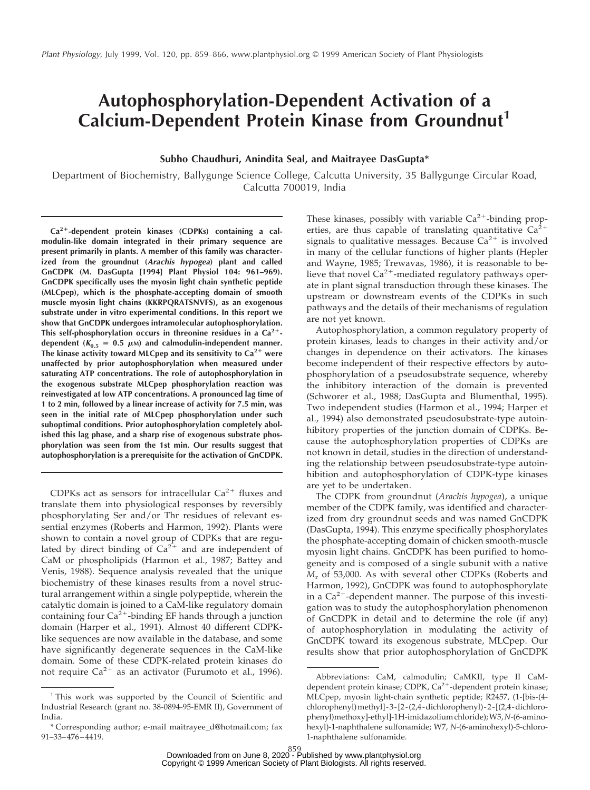# **Autophosphorylation-Dependent Activation of a Calcium-Dependent Protein Kinase from Groundnut<sup>1</sup>**

**Subho Chaudhuri, Anindita Seal, and Maitrayee DasGupta\***

Department of Biochemistry, Ballygunge Science College, Calcutta University, 35 Ballygunge Circular Road, Calcutta 700019, India

**Ca2**1**-dependent protein kinases (CDPKs) containing a calmodulin-like domain integrated in their primary sequence are present primarily in plants. A member of this family was characterized from the groundnut (Arachis hypogea) plant and called GnCDPK (M. DasGupta [1994] Plant Physiol 104: 961–969). GnCDPK specifically uses the myosin light chain synthetic peptide (MLCpep), which is the phosphate-accepting domain of smooth muscle myosin light chains (KKRPQRATSNVFS), as an exogenous substrate under in vitro experimental conditions. In this report we show that GnCDPK undergoes intramolecular autophosphorylation. This self-phosphorylation occurs in threonine residues in a Ca2**1 dependent ( $K_{0.5} = 0.5 \mu$ M) and calmodulin-independent manner. **The kinase activity toward MLCpep and its sensitivity to Ca2**<sup>1</sup> **were unaffected by prior autophosphorylation when measured under saturating ATP concentrations. The role of autophosphorylation in the exogenous substrate MLCpep phosphorylation reaction was reinvestigated at low ATP concentrations. A pronounced lag time of 1 to 2 min, followed by a linear increase of activity for 7.5 min, was seen in the initial rate of MLCpep phosphorylation under such suboptimal conditions. Prior autophosphorylation completely abolished this lag phase, and a sharp rise of exogenous substrate phosphorylation was seen from the 1st min. Our results suggest that autophosphorylation is a prerequisite for the activation of GnCDPK.**

CDPKs act as sensors for intracellular  $Ca^{2+}$  fluxes and translate them into physiological responses by reversibly phosphorylating Ser and/or Thr residues of relevant essential enzymes (Roberts and Harmon, 1992). Plants were shown to contain a novel group of CDPKs that are regulated by direct binding of  $Ca^{2+}$  and are independent of CaM or phospholipids (Harmon et al., 1987; Battey and Venis, 1988). Sequence analysis revealed that the unique biochemistry of these kinases results from a novel structural arrangement within a single polypeptide, wherein the catalytic domain is joined to a CaM-like regulatory domain containing four  $Ca^{2+}$ -binding EF hands through a junction domain (Harper et al., 1991). Almost 40 different CDPKlike sequences are now available in the database, and some have significantly degenerate sequences in the CaM-like domain. Some of these CDPK-related protein kinases do not require  $Ca^{2+}$  as an activator (Furumoto et al., 1996).

These kinases, possibly with variable  $Ca^{2+}$ -binding properties, are thus capable of translating quantitative  $Ca^{2+}$ signals to qualitative messages. Because  $Ca^{2+}$  is involved in many of the cellular functions of higher plants (Hepler and Wayne, 1985; Trewavas, 1986), it is reasonable to believe that novel  $Ca^{2+}$ -mediated regulatory pathways operate in plant signal transduction through these kinases. The upstream or downstream events of the CDPKs in such pathways and the details of their mechanisms of regulation are not yet known.

Autophosphorylation, a common regulatory property of protein kinases, leads to changes in their activity and/or changes in dependence on their activators. The kinases become independent of their respective effectors by autophosphorylation of a pseudosubstrate sequence, whereby the inhibitory interaction of the domain is prevented (Schworer et al., 1988; DasGupta and Blumenthal, 1995). Two independent studies (Harmon et al., 1994; Harper et al., 1994) also demonstrated pseudosubstrate-type autoinhibitory properties of the junction domain of CDPKs. Because the autophosphorylation properties of CDPKs are not known in detail, studies in the direction of understanding the relationship between pseudosubstrate-type autoinhibition and autophosphorylation of CDPK-type kinases are yet to be undertaken.

The CDPK from *g*roundnut (*Arachis hypogea*), a unique member of the CDPK family, was identified and characterized from dry groundnut seeds and was named GnCDPK (DasGupta, 1994). This enzyme specifically phosphorylates the phosphate-accepting domain of chicken smooth-muscle myosin light chains. GnCDPK has been purified to homogeneity and is composed of a single subunit with a native *M*<sup>r</sup> of 53,000. As with several other CDPKs (Roberts and Harmon, 1992), GnCDPK was found to autophosphorylate in a  $Ca^{2+}$ -dependent manner. The purpose of this investigation was to study the autophosphorylation phenomenon of GnCDPK in detail and to determine the role (if any) of autophosphorylation in modulating the activity of GnCDPK toward its exogenous substrate, MLCpep. Our results show that prior autophosphorylation of GnCDPK

<sup>&</sup>lt;sup>1</sup> This work was supported by the Council of Scientific and Industrial Research (grant no. 38-0894-95-EMR II), Government of India.

<sup>\*</sup> Corresponding author; e-mail maitrayee\_d@hotmail.com; fax 91–33–476–4419.

Abbreviations: CaM, calmodulin; CaMKII, type II CaMdependent protein kinase; CDPK, Ca<sup>2+</sup>-dependent protein kinase; MLCpep, myosin light-chain synthetic peptide; R2457, (1-[bis-(4 chlorophenyl)methyl]-3-[2-(2,4-dichlorophenyl)-2-[(2,4-dichlorophenyl)methoxy]-ethyl]-1H-imidazolium chloride); W5,*N-*(6-aminohexyl)-1-naphthalene sulfonamide; W7, *N-*(6-aminohexyl)-5-chloro-1-naphtha[lene sulfonamide.](http://www.plantphysiol.org)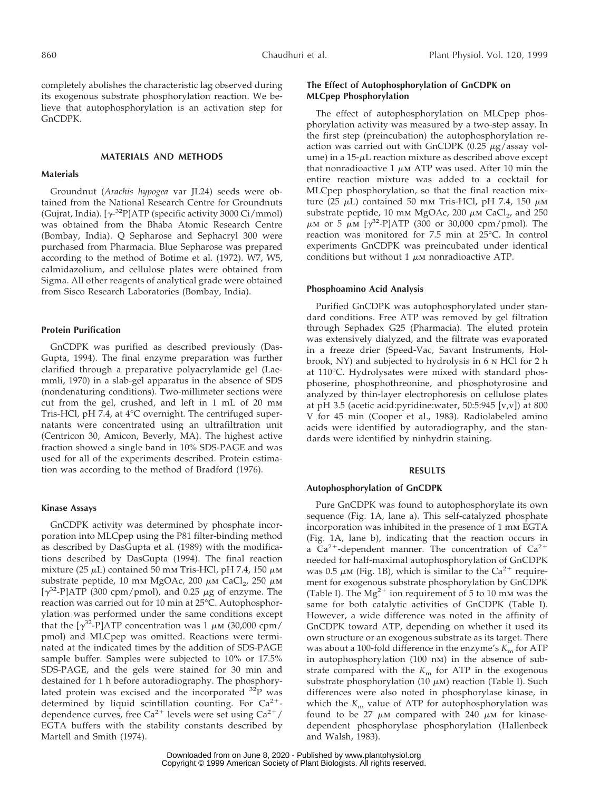completely abolishes the characteristic lag observed during its exogenous substrate phosphorylation reaction. We believe that autophosphorylation is an activation step for GnCDPK.

# **MATERIALS AND METHODS**

#### **Materials**

Groundnut (*Arachis hypogea* var JL24) seeds were obtained from the National Research Centre for Groundnuts (Gujrat, India). [ $\gamma$ <sup>-32</sup>P]ATP (specific activity 3000 Ci/mmol) was obtained from the Bhaba Atomic Research Centre (Bombay, India). Q Sepharose and Sephacryl 300 were purchased from Pharmacia. Blue Sepharose was prepared according to the method of Botime et al. (1972). W7, W5, calmidazolium, and cellulose plates were obtained from Sigma. All other reagents of analytical grade were obtained from Sisco Research Laboratories (Bombay, India).

## **Protein Purification**

GnCDPK was purified as described previously (Das-Gupta, 1994). The final enzyme preparation was further clarified through a preparative polyacrylamide gel (Laemmli, 1970) in a slab-gel apparatus in the absence of SDS (nondenaturing conditions). Two-millimeter sections were cut from the gel, crushed, and left in 1 mL of 20 mm Tris-HCl, pH 7.4, at 4°C overnight. The centrifuged supernatants were concentrated using an ultrafiltration unit (Centricon 30, Amicon, Beverly, MA). The highest active fraction showed a single band in 10% SDS-PAGE and was used for all of the experiments described. Protein estimation was according to the method of Bradford (1976).

# **Kinase Assays**

GnCDPK activity was determined by phosphate incorporation into MLCpep using the P81 filter-binding method as described by DasGupta et al. (1989) with the modifications described by DasGupta (1994). The final reaction mixture (25  $\mu$ L) contained 50 mm Tris-HCl, pH 7.4, 150  $\mu$ m substrate peptide, 10 mm MgOAc, 200  $\mu$ m CaCl<sub>2</sub>, 250  $\mu$ m  $[\gamma^{32}$ -P]ATP (300 cpm/pmol), and 0.25  $\mu$ g of enzyme. The reaction was carried out for 10 min at 25°C. Autophosphorylation was performed under the same conditions except that the  $\lceil \gamma^{32} - P \rceil$ ATP concentration was 1  $\mu$ m (30,000 cpm/ pmol) and MLCpep was omitted. Reactions were terminated at the indicated times by the addition of SDS-PAGE sample buffer. Samples were subjected to 10% or 17.5% SDS-PAGE, and the gels were stained for 30 min and destained for 1 h before autoradiography. The phosphorylated protein was excised and the incorporated 32P was determined by liquid scintillation counting. For  $Ca^{2+}$ dependence curves, free Ca<sup>2+</sup> levels were set using Ca<sup>2+</sup>/ EGTA buffers with the stability constants described by Martell and Smith (1974).

# **The Effect of Autophosphorylation of GnCDPK on MLCpep Phosphorylation**

The effect of autophosphorylation on MLCpep phosphorylation activity was measured by a two-step assay. In the first step (preincubation) the autophosphorylation reaction was carried out with GnCDPK (0.25  $\mu$ g/assay volume) in a  $15-\mu$ L reaction mixture as described above except that nonradioactive 1  $\mu$ m ATP was used. After 10 min the entire reaction mixture was added to a cocktail for MLCpep phosphorylation, so that the final reaction mixture (25  $\mu$ L) contained 50 mm Tris-HCl, pH 7.4, 150  $\mu$ m substrate peptide, 10 mm MgOAc, 200  $\mu$ m CaCl<sub>2</sub>, and 250  $\mu$ m or 5  $\mu$ m [ $\gamma$ <sup>32</sup>-P]ATP (300 or 30,000 cpm/pmol). The reaction was monitored for 7.5 min at 25°C. In control experiments GnCDPK was preincubated under identical conditions but without  $1 \mu$ M nonradioactive ATP.

## **Phosphoamino Acid Analysis**

Purified GnCDPK was autophosphorylated under standard conditions. Free ATP was removed by gel filtration through Sephadex G25 (Pharmacia). The eluted protein was extensively dialyzed, and the filtrate was evaporated in a freeze drier (Speed-Vac, Savant Instruments, Holbrook, NY) and subjected to hydrolysis in 6 n HCl for 2 h at 110°C. Hydrolysates were mixed with standard phosphoserine, phosphothreonine, and phosphotyrosine and analyzed by thin-layer electrophoresis on cellulose plates at pH 3.5 (acetic acid:pyridine:water, 50:5:945 [v,v]) at 800 V for 45 min (Cooper et al., 1983). Radiolabeled amino acids were identified by autoradiography, and the standards were identified by ninhydrin staining.

# **RESULTS**

#### **Autophosphorylation of GnCDPK**

Pure GnCDPK was found to autophosphorylate its own sequence (Fig. 1A, lane a). This self-catalyzed phosphate incorporation was inhibited in the presence of 1 mm EGTA (Fig. 1A, lane b), indicating that the reaction occurs in a Ca<sup>2+</sup>-dependent manner. The concentration of  $Ca^{2+}$ needed for half-maximal autophosphorylation of GnCDPK was 0.5  $\mu$ M (Fig. 1B), which is similar to the Ca<sup>2+</sup> requirement for exogenous substrate phosphorylation by GnCDPK (Table I). The  $Mg^{2+}$  ion requirement of 5 to 10 mm was the same for both catalytic activities of GnCDPK (Table I). However, a wide difference was noted in the affinity of GnCDPK toward ATP, depending on whether it used its own structure or an exogenous substrate as its target. There was about a 100-fold difference in the enzyme's  $K<sub>m</sub>$  for ATP in autophosphorylation (100 nm) in the absence of substrate compared with the  $K<sub>m</sub>$  for ATP in the exogenous substrate phosphorylation (10  $\mu$ M) reaction (Table I). Such differences were also noted in phosphorylase kinase, in which the  $K<sub>m</sub>$  value of ATP for autophosphorylation was found to be 27  $\mu$ M compared with 240  $\mu$ M for kinasedependent phosphorylase phosphorylation (Hallenbeck and Wal[sh, 1983\).](http://www.plantphysiol.org)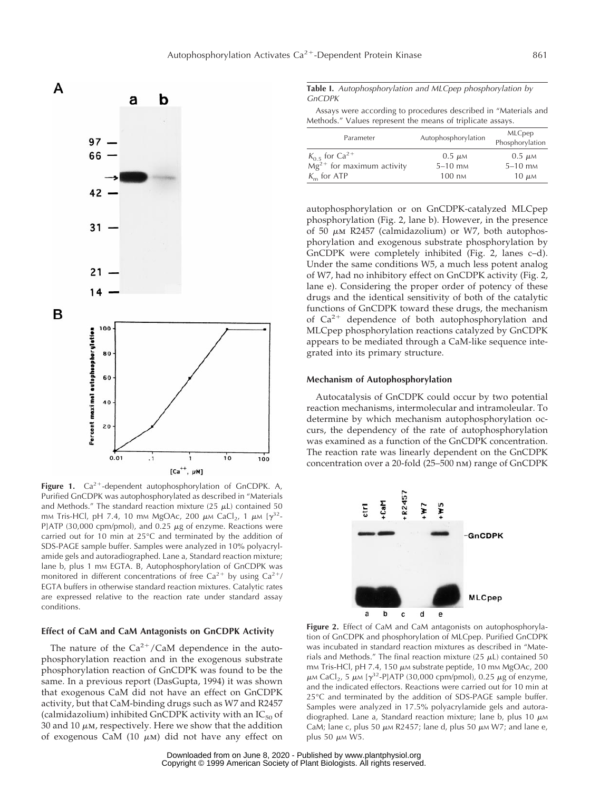

Figure 1. Ca<sup>2+</sup>-dependent autophosphorylation of GnCDPK. A, Purified GnCDPK was autophosphorylated as described in "Materials and Methods." The standard reaction mixture  $(25 \mu L)$  contained 50 mm Tris-HCl, pH 7.4, 10 mm MgOAc, 200  $\mu$ m CaCl<sub>2</sub>, 1  $\mu$ m [ $\gamma^{32}$ -P]ATP (30,000 cpm/pmol), and 0.25  $\mu$ g of enzyme. Reactions were carried out for 10 min at 25°C and terminated by the addition of SDS-PAGE sample buffer. Samples were analyzed in 10% polyacrylamide gels and autoradiographed. Lane a, Standard reaction mixture; lane b, plus 1 mm EGTA. B, Autophosphorylation of GnCDPK was monitored in different concentrations of free  $Ca^{2+}$  by using  $Ca^{2+}/$ EGTA buffers in otherwise standard reaction mixtures. Catalytic rates are expressed relative to the reaction rate under standard assay conditions.

# **Effect of CaM and CaM Antagonists on GnCDPK Activity**

The nature of the  $Ca^{2+}/CaM$  dependence in the autophosphorylation reaction and in the exogenous substrate phosphorylation reaction of GnCDPK was found to be the same. In a previous report (DasGupta, 1994) it was shown that exogenous CaM did not have an effect on GnCDPK activity, but that CaM-binding drugs such as W7 and R2457 (calmidazolium) inhibited GnCDPK activity with an  $IC_{50}$  of 30 and 10  $\mu$ m, respectively. Here we show that the addition of exogenous CaM (10  $\mu$ m) did not have any effect on **Table I.** Autophosphorylation and MLCpep phosphorylation by GnCDPK

|                                                            |  | Assays were according to procedures described in "Materials and |
|------------------------------------------------------------|--|-----------------------------------------------------------------|
| Methods." Values represent the means of triplicate assays. |  |                                                                 |

| Parameter                      | Autophosphorylation   | <b>MLCpep</b><br>Phosphorylation |  |  |
|--------------------------------|-----------------------|----------------------------------|--|--|
| $K_0$ s for Ca <sup>2+</sup>   | $0.5 \mu \text{m}$    | $0.5 \mu M$                      |  |  |
| $Mg^{2+}$ for maximum activity | $5-10$ m <sub>M</sub> | $5-10$ m <sub>M</sub>            |  |  |
| $Km$ for ATP                   | $100 \text{ nm}$      | $10 \mu M$                       |  |  |

autophosphorylation or on GnCDPK-catalyzed MLCpep phosphorylation (Fig. 2, lane b). However, in the presence of 50  $\mu$ m R2457 (calmidazolium) or W7, both autophosphorylation and exogenous substrate phosphorylation by GnCDPK were completely inhibited (Fig. 2, lanes c–d). Under the same conditions W5, a much less potent analog of W7, had no inhibitory effect on GnCDPK activity (Fig. 2, lane e). Considering the proper order of potency of these drugs and the identical sensitivity of both of the catalytic functions of GnCDPK toward these drugs, the mechanism of  $Ca^{2+}$  dependence of both autophosphorylation and MLCpep phosphorylation reactions catalyzed by GnCDPK appears to be mediated through a CaM-like sequence integrated into its primary structure.

# **Mechanism of Autophosphorylation**

Autocatalysis of GnCDPK could occur by two potential reaction mechanisms, intermolecular and intramoleular. To determine by which mechanism autophosphorylation occurs, the dependency of the rate of autophosphorylation was examined as a function of the GnCDPK concentration. The reaction rate was linearly dependent on the GnCDPK concentration over a 20-fold (25–500 nm) range of GnCDPK



**Figure 2.** Effect of CaM and CaM antagonists on autophosphorylation of GnCDPK and phosphorylation of MLCpep. Purified GnCDPK was incubated in standard reaction mixtures as described in "Materials and Methods." The final reaction mixture (25  $\mu$ L) contained 50 mm Tris-HCl, pH 7.4, 150  $\mu$ m substrate peptide, 10 mm MgOAc, 200  $\mu$ M CaCl<sub>2</sub>, 5  $\mu$ M [ $\gamma$ <sup>32</sup>-P]ATP (30,000 cpm/pmol), 0.25  $\mu$ g of enzyme, and the indicated effectors. Reactions were carried out for 10 min at 25°C and terminated by the addition of SDS-PAGE sample buffer. Samples were analyzed in 17.5% polyacrylamide gels and autoradiographed. Lane a, Standard reaction mixture; lane b, plus 10  $\mu$ M CaM; lane c, plus 50  $\mu$ M R2457; lane d, plus 50  $\mu$ M W7; and lane e, plus 50  $\mu$ M [W5.](http://www.plantphysiol.org)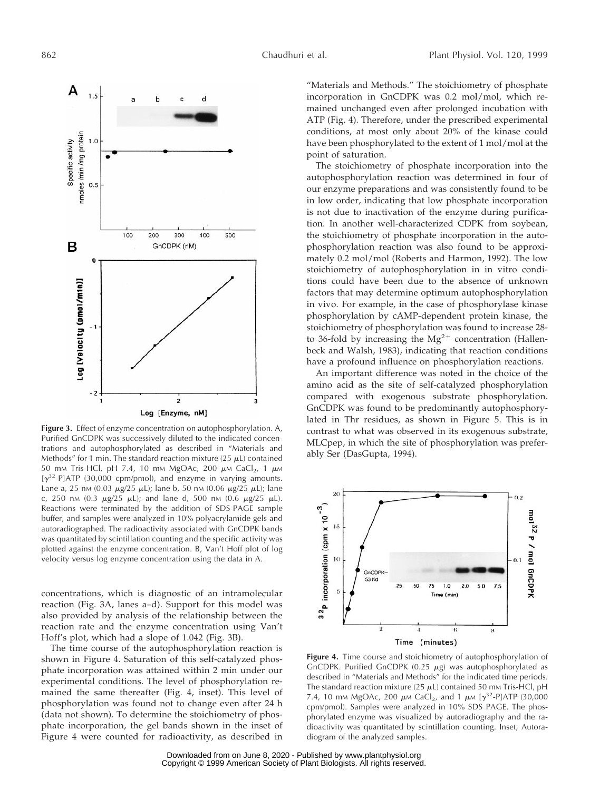

**Figure 3.** Effect of enzyme concentration on autophosphorylation. A, Purified GnCDPK was successively diluted to the indicated concentrations and autophosphorylated as described in "Materials and Methods" for 1 min. The standard reaction mixture (25  $\mu$ L) contained 50 mm Tris-HCl, pH 7.4, 10 mm MgOAc, 200  $\mu$ m CaCl<sub>2</sub>, 1  $\mu$ m  $[\gamma^{32}$ -P]ATP (30,000 cpm/pmol), and enzyme in varying amounts. Lane a, 25 nm (0.03  $\mu$ g/25  $\mu$ L); lane b, 50 nm (0.06  $\mu$ g/25  $\mu$ L); lane c, 250 nm (0.3  $\mu$ g/25  $\mu$ L); and lane d, 500 nm (0.6  $\mu$ g/25  $\mu$ L). Reactions were terminated by the addition of SDS-PAGE sample buffer, and samples were analyzed in 10% polyacrylamide gels and autoradiographed. The radioactivity associated with GnCDPK bands was quantitated by scintillation counting and the specific activity was plotted against the enzyme concentration. B, Van't Hoff plot of log velocity versus log enzyme concentration using the data in A.

concentrations, which is diagnostic of an intramolecular reaction (Fig. 3A, lanes a–d). Support for this model was also provided by analysis of the relationship between the reaction rate and the enzyme concentration using Van't Hoff's plot, which had a slope of 1.042 (Fig. 3B).

The time course of the autophosphorylation reaction is shown in Figure 4. Saturation of this self-catalyzed phosphate incorporation was attained within 2 min under our experimental conditions. The level of phosphorylation remained the same thereafter (Fig. 4, inset). This level of phosphorylation was found not to change even after 24 h (data not shown). To determine the stoichiometry of phosphate incorporation, the gel bands shown in the inset of Figure 4 were counted for radioactivity, as described in

"Materials and Methods." The stoichiometry of phosphate incorporation in GnCDPK was 0.2 mol/mol, which remained unchanged even after prolonged incubation with ATP (Fig. 4). Therefore, under the prescribed experimental conditions, at most only about 20% of the kinase could have been phosphorylated to the extent of 1 mol/mol at the point of saturation.

The stoichiometry of phosphate incorporation into the autophosphorylation reaction was determined in four of our enzyme preparations and was consistently found to be in low order, indicating that low phosphate incorporation is not due to inactivation of the enzyme during purification. In another well-characterized CDPK from soybean, the stoichiometry of phosphate incorporation in the autophosphorylation reaction was also found to be approximately 0.2 mol/mol (Roberts and Harmon, 1992). The low stoichiometry of autophosphorylation in in vitro conditions could have been due to the absence of unknown factors that may determine optimum autophosphorylation in vivo. For example, in the case of phosphorylase kinase phosphorylation by cAMP-dependent protein kinase, the stoichiometry of phosphorylation was found to increase 28 to 36-fold by increasing the  $Mg^{2+}$  concentration (Hallenbeck and Walsh, 1983), indicating that reaction conditions have a profound influence on phosphorylation reactions.

An important difference was noted in the choice of the amino acid as the site of self-catalyzed phosphorylation compared with exogenous substrate phosphorylation. GnCDPK was found to be predominantly autophosphorylated in Thr residues, as shown in Figure 5. This is in contrast to what was observed in its exogenous substrate, MLCpep, in which the site of phosphorylation was preferably Ser (DasGupta, 1994).



**Figure 4.** Time course and stoichiometry of autophosphorylation of GnCDPK. Purified GnCDPK (0.25  $\mu$ g) was autophosphorylated as described in "Materials and Methods" for the indicated time periods. The standard reaction mixture (25  $\mu$ L) contained 50 mm Tris-HCl, pH 7.4, 10 mm MgOAc, 200  $\mu$ m CaCl<sub>2</sub>, and 1  $\mu$ m [ $\gamma^{32}$ -P]ATP (30,000 cpm/pmol). Samples were analyzed in 10% SDS PAGE. The phosphorylated enzyme was visualized by autoradiography and the radioactivity was quantitated by scintillation counting. Inset, Autoradiogram o[f the analyzed samples](http://www.plantphysiol.org).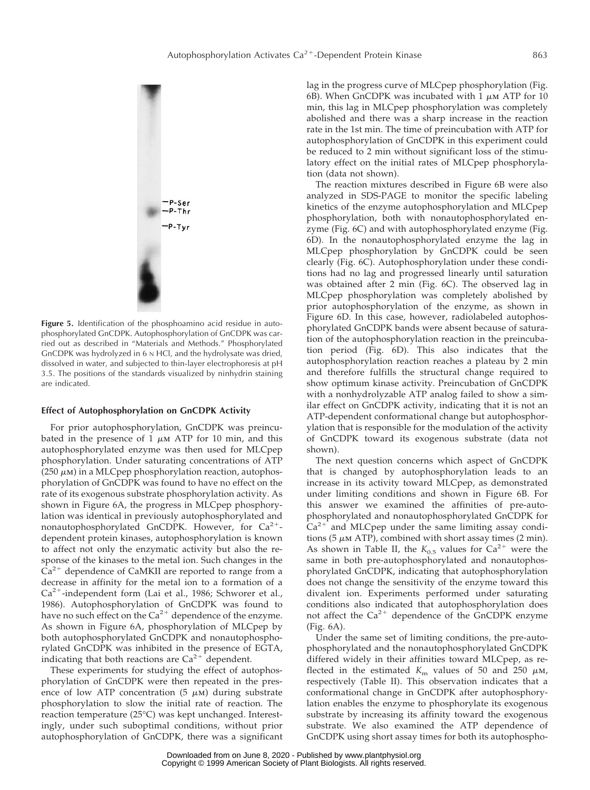

**Figure 5.** Identification of the phosphoamino acid residue in autophosphorylated GnCDPK. Autophosphorylation of GnCDPK was carried out as described in "Materials and Methods." Phosphorylated GnCDPK was hydrolyzed in 6 N HCl, and the hydrolysate was dried, dissolved in water, and subjected to thin-layer electrophoresis at pH 3.5. The positions of the standards visualized by ninhydrin staining are indicated.

## **Effect of Autophosphorylation on GnCDPK Activity**

For prior autophosphorylation, GnCDPK was preincubated in the presence of 1  $\mu$ M ATP for 10 min, and this autophosphorylated enzyme was then used for MLCpep phosphorylation. Under saturating concentrations of ATP (250  $\mu$ m) in a MLCpep phosphorylation reaction, autophosphorylation of GnCDPK was found to have no effect on the rate of its exogenous substrate phosphorylation activity. As shown in Figure 6A, the progress in MLCpep phosphorylation was identical in previously autophosphorylated and nonautophosphorylated GnCDPK. However, for  $Ca^{2+}$ dependent protein kinases, autophosphorylation is known to affect not only the enzymatic activity but also the response of the kinases to the metal ion. Such changes in the  $Ca<sup>2+</sup>$  dependence of CaMKII are reported to range from a decrease in affinity for the metal ion to a formation of a  $Ca^{2+}$ -independent form (Lai et al., 1986; Schworer et al., 1986). Autophosphorylation of GnCDPK was found to have no such effect on the  $Ca^{2+}$  dependence of the enzyme. As shown in Figure 6A, phosphorylation of MLCpep by both autophosphorylated GnCDPK and nonautophosphorylated GnCDPK was inhibited in the presence of EGTA, indicating that both reactions are  $Ca^{2+}$  dependent.

These experiments for studying the effect of autophosphorylation of GnCDPK were then repeated in the presence of low ATP concentration (5  $\mu$ m) during substrate phosphorylation to slow the initial rate of reaction. The reaction temperature (25°C) was kept unchanged. Interestingly, under such suboptimal conditions, without prior autophosphorylation of GnCDPK, there was a significant lag in the progress curve of MLCpep phosphorylation (Fig. 6B). When GnCDPK was incubated with 1  $\mu$ m ATP for 10 min, this lag in MLCpep phosphorylation was completely abolished and there was a sharp increase in the reaction rate in the 1st min. The time of preincubation with ATP for autophosphorylation of GnCDPK in this experiment could be reduced to 2 min without significant loss of the stimulatory effect on the initial rates of MLCpep phosphorylation (data not shown).

The reaction mixtures described in Figure 6B were also analyzed in SDS-PAGE to monitor the specific labeling kinetics of the enzyme autophosphorylation and MLCpep phosphorylation, both with nonautophosphorylated enzyme (Fig. 6C) and with autophosphorylated enzyme (Fig. 6D). In the nonautophosphorylated enzyme the lag in MLCpep phosphorylation by GnCDPK could be seen clearly (Fig. 6C). Autophosphorylation under these conditions had no lag and progressed linearly until saturation was obtained after 2 min (Fig. 6C). The observed lag in MLCpep phosphorylation was completely abolished by prior autophosphorylation of the enzyme, as shown in Figure 6D. In this case, however, radiolabeled autophosphorylated GnCDPK bands were absent because of saturation of the autophosphorylation reaction in the preincubation period (Fig. 6D). This also indicates that the autophosphorylation reaction reaches a plateau by 2 min and therefore fulfills the structural change required to show optimum kinase activity. Preincubation of GnCDPK with a nonhydrolyzable ATP analog failed to show a similar effect on GnCDPK activity, indicating that it is not an ATP-dependent conformational change but autophosphorylation that is responsible for the modulation of the activity of GnCDPK toward its exogenous substrate (data not shown).

The next question concerns which aspect of GnCDPK that is changed by autophosphorylation leads to an increase in its activity toward MLCpep, as demonstrated under limiting conditions and shown in Figure 6B. For this answer we examined the affinities of pre-autophosphorylated and nonautophosphorylated GnCDPK for  $Ca^{2+}$  and MLCpep under the same limiting assay conditions (5  $\mu$ M ATP), combined with short assay times (2 min). As shown in Table II, the  $K_{0.5}$  values for  $Ca^{2+}$  were the same in both pre-autophosphorylated and nonautophosphorylated GnCDPK, indicating that autophosphorylation does not change the sensitivity of the enzyme toward this divalent ion. Experiments performed under saturating conditions also indicated that autophosphorylation does not affect the  $Ca^{2+}$  dependence of the GnCDPK enzyme (Fig. 6A).

Under the same set of limiting conditions, the pre-autophosphorylated and the nonautophosphorylated GnCDPK differed widely in their affinities toward MLCpep, as reflected in the estimated  $K<sub>m</sub>$  values of 50 and 250  $\mu$ m, respectively (Table II). This observation indicates that a conformational change in GnCDPK after autophosphorylation enables the enzyme to phosphorylate its exogenous substrate by increasing its affinity toward the exogenous substrate. We also examined the ATP dependence of GnCDP[K using short assay t](http://www.plantphysiol.org)imes for both its autophospho-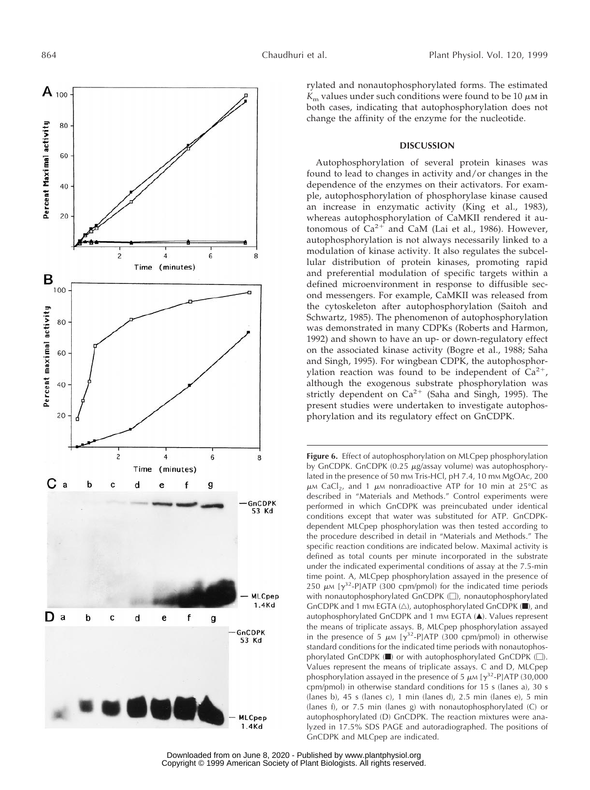

rylated and nonautophosphorylated forms. The estimated  $K<sub>m</sub>$  values under such conditions were found to be 10  $\mu$ M in both cases, indicating that autophosphorylation does not change the affinity of the enzyme for the nucleotide.

# **DISCUSSION**

Autophosphorylation of several protein kinases was found to lead to changes in activity and/or changes in the dependence of the enzymes on their activators. For example, autophosphorylation of phosphorylase kinase caused an increase in enzymatic activity (King et al., 1983), whereas autophosphorylation of CaMKII rendered it autonomous of  $Ca^{2+}$  and CaM (Lai et al., 1986). However, autophosphorylation is not always necessarily linked to a modulation of kinase activity. It also regulates the subcellular distribution of protein kinases, promoting rapid and preferential modulation of specific targets within a defined microenvironment in response to diffusible second messengers. For example, CaMKII was released from the cytoskeleton after autophosphorylation (Saitoh and Schwartz, 1985). The phenomenon of autophosphorylation was demonstrated in many CDPKs (Roberts and Harmon, 1992) and shown to have an up- or down-regulatory effect on the associated kinase activity (Bogre et al., 1988; Saha and Singh, 1995). For wingbean CDPK, the autophosphorylation reaction was found to be independent of  $Ca^{2+}$ , although the exogenous substrate phosphorylation was strictly dependent on  $Ca^{2+}$  (Saha and Singh, 1995). The present studies were undertaken to investigate autophosphorylation and its regulatory effect on GnCDPK.

Figure 6. Effect of autophosphorylation on MLCpep phosphorylation by GnCDPK. GnCDPK  $(0.25 \mu g$ /assay volume) was autophosphorylated in the presence of 50 mm Tris-HCl, pH 7.4, 10 mm MgOAc, 200  $\mu$ M CaCl<sub>2</sub>, and 1  $\mu$ M nonradioactive ATP for 10 min at 25°C as described in "Materials and Methods." Control experiments were performed in which GnCDPK was preincubated under identical conditions except that water was substituted for ATP. GnCDPKdependent MLCpep phosphorylation was then tested according to the procedure described in detail in "Materials and Methods." The specific reaction conditions are indicated below. Maximal activity is defined as total counts per minute incorporated in the substrate under the indicated experimental conditions of assay at the 7.5-min time point. A, MLCpep phosphorylation assayed in the presence of 250  $\mu$ M [ $\gamma$ <sup>32</sup>-P]ATP (300 cpm/pmol) for the indicated time periods with nonautophosphorylated GnCDPK  $(\Box)$ , nonautophosphorylated GnCDPK and 1 mm EGTA  $(\triangle)$ , autophosphorylated GnCDPK ( $\blacksquare$ ), and autophosphorylated GnCDPK and 1 mm EGTA (A). Values represent the means of triplicate assays. B, MLCpep phosphorylation assayed in the presence of 5  $\mu$ M [ $\gamma^{32}$ -P]ATP (300 cpm/pmol) in otherwise standard conditions for the indicated time periods with nonautophosphorylated GnCDPK  $(\blacksquare)$  or with autophosphorylated GnCDPK  $(\square)$ . Values represent the means of triplicate assays. C and D, MLCpep phosphorylation assayed in the presence of 5  $\mu$ M [ $\gamma$ <sup>32</sup>-P]ATP (30,000 cpm/pmol) in otherwise standard conditions for 15 s (lanes a), 30 s (lanes b), 45 s (lanes c), 1 min (lanes d), 2.5 min (lanes e), 5 min (lanes f), or 7.5 min (lanes g) with nonautophosphorylated (C) or autophosphorylated (D) GnCDPK. The reaction mixtures were analyzed in 17.5% SDS PAGE and autoradiographed. The positions of GnCDPK [and MLCpep are indica](http://www.plantphysiol.org)ted.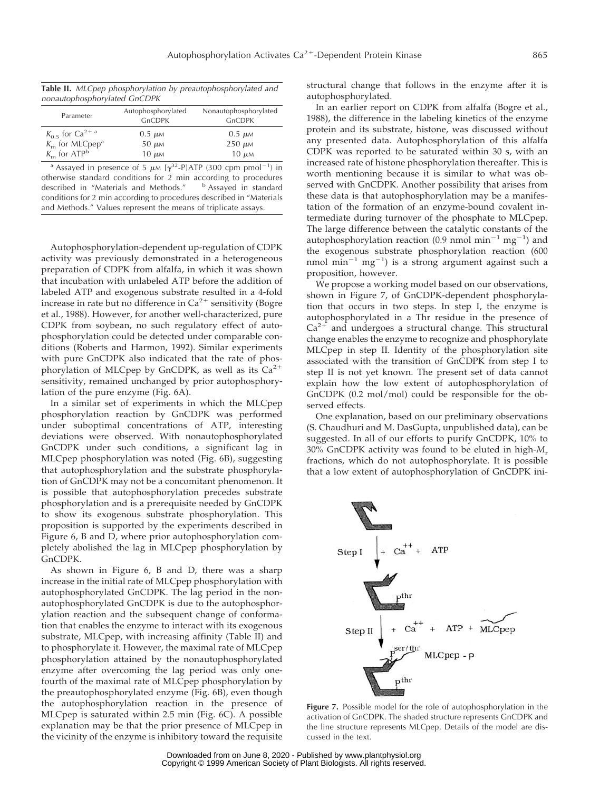| Table II. MLCpep phosphorylation by preautophosphorylated and |  |  |  |  |  |  |  |
|---------------------------------------------------------------|--|--|--|--|--|--|--|
| nonautophosphorylated GnCDPK                                  |  |  |  |  |  |  |  |

| Parameter                        | Autophosphorylated<br><b>GnCDPK</b> | Nonautophosphorylated<br><b>GnCDPK</b> |
|----------------------------------|-------------------------------------|----------------------------------------|
| $K_0$ s for Ca <sup>2+ a</sup>   | $0.5 \mu M$                         | $0.5 \mu M$                            |
| $Km$ for MLCpep <sup>a</sup>     | $50 \mu M$                          | $250 \mu M$                            |
| $K_{\rm m}$ for ATP <sup>b</sup> | $10 \mu M$                          | $10 \mu M$                             |

<sup>a</sup> Assayed in presence of 5  $\mu$ M [ $\gamma$ <sup>32</sup>-P]ATP (300 cpm pmol<sup>-1</sup>) in otherwise standard conditions for 2 min according to procedures described in "Materials and Methods." b Assayed in standard described in "Materials and Methods." conditions for 2 min according to procedures described in "Materials and Methods." Values represent the means of triplicate assays.

Autophosphorylation-dependent up-regulation of CDPK activity was previously demonstrated in a heterogeneous preparation of CDPK from alfalfa, in which it was shown that incubation with unlabeled ATP before the addition of labeled ATP and exogenous substrate resulted in a 4-fold increase in rate but no difference in  $Ca^{2+}$  sensitivity (Bogre et al., 1988). However, for another well-characterized, pure CDPK from soybean, no such regulatory effect of autophosphorylation could be detected under comparable conditions (Roberts and Harmon, 1992). Similar experiments with pure GnCDPK also indicated that the rate of phosphorylation of MLCpep by GnCDPK, as well as its  $Ca^{2+}$ sensitivity, remained unchanged by prior autophosphorylation of the pure enzyme (Fig. 6A).

In a similar set of experiments in which the MLCpep phosphorylation reaction by GnCDPK was performed under suboptimal concentrations of ATP, interesting deviations were observed. With nonautophosphorylated GnCDPK under such conditions, a significant lag in MLCpep phosphorylation was noted (Fig. 6B), suggesting that autophosphorylation and the substrate phosphorylation of GnCDPK may not be a concomitant phenomenon. It is possible that autophosphorylation precedes substrate phosphorylation and is a prerequisite needed by GnCDPK to show its exogenous substrate phosphorylation. This proposition is supported by the experiments described in Figure 6, B and D, where prior autophosphorylation completely abolished the lag in MLCpep phosphorylation by GnCDPK.

As shown in Figure 6, B and D, there was a sharp increase in the initial rate of MLCpep phosphorylation with autophosphorylated GnCDPK. The lag period in the nonautophosphorylated GnCDPK is due to the autophosphorylation reaction and the subsequent change of conformation that enables the enzyme to interact with its exogenous substrate, MLCpep, with increasing affinity (Table II) and to phosphorylate it. However, the maximal rate of MLCpep phosphorylation attained by the nonautophosphorylated enzyme after overcoming the lag period was only onefourth of the maximal rate of MLCpep phosphorylation by the preautophosphorylated enzyme (Fig. 6B), even though the autophosphorylation reaction in the presence of MLCpep is saturated within 2.5 min (Fig. 6C). A possible explanation may be that the prior presence of MLCpep in the vicinity of the enzyme is inhibitory toward the requisite structural change that follows in the enzyme after it is autophosphorylated.

In an earlier report on CDPK from alfalfa (Bogre et al., 1988), the difference in the labeling kinetics of the enzyme protein and its substrate, histone, was discussed without any presented data. Autophosphorylation of this alfalfa CDPK was reported to be saturated within 30 s, with an increased rate of histone phosphorylation thereafter. This is worth mentioning because it is similar to what was observed with GnCDPK. Another possibility that arises from these data is that autophosphorylation may be a manifestation of the formation of an enzyme-bound covalent intermediate during turnover of the phosphate to MLCpep. The large difference between the catalytic constants of the autophosphorylation reaction (0.9 nmol min<sup>-1</sup> mg<sup>-1</sup>) and the exogenous substrate phosphorylation reaction (600 nmol min<sup>-1</sup> mg<sup>-1</sup>) is a strong argument against such a proposition, however.

We propose a working model based on our observations, shown in Figure 7, of GnCDPK-dependent phosphorylation that occurs in two steps. In step I, the enzyme is autophosphorylated in a Thr residue in the presence of  $Ca^{2+}$  and undergoes a structural change. This structural change enables the enzyme to recognize and phosphorylate MLCpep in step II. Identity of the phosphorylation site associated with the transition of GnCDPK from step I to step II is not yet known. The present set of data cannot explain how the low extent of autophosphorylation of GnCDPK (0.2 mol/mol) could be responsible for the observed effects.

One explanation, based on our preliminary observations (S. Chaudhuri and M. DasGupta, unpublished data), can be suggested. In all of our efforts to purify GnCDPK, 10% to 30% GnCDPK activity was found to be eluted in high-*M*<sup>r</sup> fractions, which do not autophosphorylate. It is possible that a low extent of autophosphorylation of GnCDPK ini-



**Figure 7.** Possible model for the role of autophosphorylation in the activation of GnCDPK. The shaded structure represents GnCDPK and the line structure represents MLCpep. Details of the model are discussed in [the text.](http://www.plantphysiol.org)